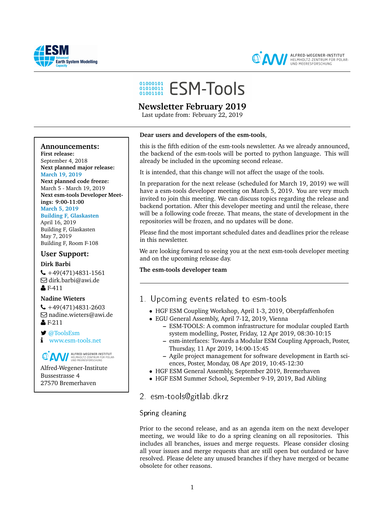



ALFRED-WEGENER-INSTITUT<br>HELMHOLTZ-ZENTRUM FÜR POLAR-<br>UND MEERESFORSCHUNG

# 01000101 ESM-TOOlS

# **Newsletter February 2019**

Last update from: February 22, 2019

#### **Dear users and developers of the esm-tools**,

#### this is the fifth edition of the esm-tools newsletter. As we already announced, the backend of the esm-tools will be ported to python language. This will already be included in the upcoming second release.

It is intended, that this change will not affect the usage of the tools.

In preparation for the next release (scheduled for March 19, 2019) we will have a esm-tools developer meeting on March 5, 2019. You are very much invited to join this meeting. We can discuss topics regarding the release and backend portation. After this developer meeting and until the release, there will be a following code freeze. That means, the state of development in the repositories will be frozen, and no updates will be done.

Please find the most important scheduled dates and deadlines prior the release in this newsletter.

We are looking forward to seeing you at the next esm-tools developer meeting and on the upcoming release day.

#### **The esm-tools developer team**

# 1. Upcoming events related to esm-tools

- HGF ESM Coupling Workshop, April 1-3, 2019, Oberpfaffenhofen
- EGU General Assembly, April 7-12, 2019, Vienna
	- **–** ESM-TOOLS: A common infrastructure for modular coupled Earth system modelling, Poster, Friday, 12 Apr 2019, 08:30-10:15
	- **–** esm-interfaces: Towards a Modular ESM Coupling Approach, Poster, Thursday, 11 Apr 2019, 14:00-15:45
	- **–** Agile project management for software development in Earth sciences, Poster, Monday, 08 Apr 2019, 10:45-12:30
- HGF ESM General Assembly, September 2019, Bremerhaven
- HGF ESM Summer School, September 9-19, 2019, Bad Aibling
- 2. esm-tools@gitlab.dkrz

## Spring cleaning

Prior to the second release, and as an agenda item on the next developer meeting, we would like to do a spring cleaning on all repositories. This includes all branches, issues and merge requests. Please consider closing all your issues and merge requests that are still open but outdated or have resolved. Please delete any unused branches if they have merged or became obsolete for other reasons.

#### **Announcements:**

**First release:** September 4, 2018 **Next planned major release: March 19, 2019 Next planned code freeze:** March 5 - March 19, 2019 **Next esm-tools Developer Meetings: 9:00-11:00**

# **March 5, 2019**

**Building F, Glaskasten** April 16, 2019 Building F, Glaskasten May 7, 2019 Building F, Room F-108

# **User Support:**

### **Dirk Barbi**

 $\leftarrow$  +49(471)4831-1561 7 dirk.barbi@awi.de  $8 F-411$ 

#### **Nadine Wieters**

 $\leftarrow$  +49(471)4831-2603  $\boxdot$  nadine.wieters@awi.de  $E-211$ 

**■** [@ToolsEsm](https://twitter.com/ToolsEsm)

<www.esm-tools.net>

ALFRED-WEGENER-INSTITUT

Alfred-Wegener-Institute Bussestrasse 4 27570 Bremerhaven